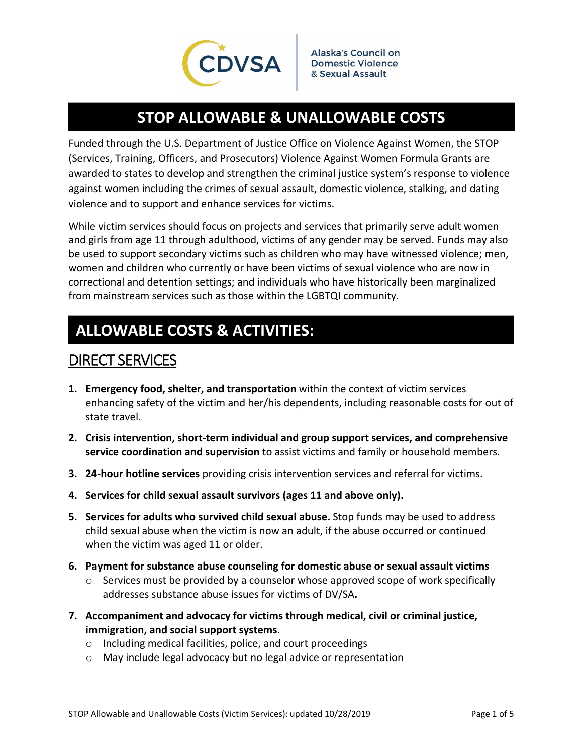

# **STOP ALLOWABLE & UNALLOWABLE COSTS**

Funded through the U.S. Department of Justice Office on Violence Against Women, the STOP (Services, Training, Officers, and Prosecutors) Violence Against Women Formula Grants are awarded to states to develop and strengthen the criminal justice system's response to violence against women including the crimes of sexual assault, domestic violence, stalking, and dating violence and to support and enhance services for victims.

While victim services should focus on projects and services that primarily serve adult women and girls from age 11 through adulthood, victims of any gender may be served. Funds may also be used to support secondary victims such as children who may have witnessed violence; men, women and children who currently or have been victims of sexual violence who are now in correctional and detention settings; and individuals who have historically been marginalized from mainstream services such as those within the LGBTQI community.

# **ALLOWABLE COSTS & ACTIVITIES:**

## DIRECT SERVICES

- **1. Emergency food, shelter, and transportation** within the context of victim services enhancing safety of the victim and her/his dependents, including reasonable costs for out of state travel.
- **2. Crisis intervention, short‐term individual and group support services, and comprehensive service coordination and supervision** to assist victims and family or household members.
- **3. 24‐hour hotline services** providing crisis intervention services and referral for victims.
- **4. Services for child sexual assault survivors (ages 11 and above only).**
- **5. Services for adults who survived child sexual abuse.** Stop funds may be used to address child sexual abuse when the victim is now an adult, if the abuse occurred or continued when the victim was aged 11 or older.
- **6. Payment for substance abuse counseling for domestic abuse or sexual assault victims**
	- o Services must be provided by a counselor whose approved scope of work specifically addresses substance abuse issues for victims of DV/SA**.**
- **7. Accompaniment and advocacy for victims through medical, civil or criminal justice, immigration, and social support systems**.
	- o Including medical facilities, police, and court proceedings
	- o May include legal advocacy but no legal advice or representation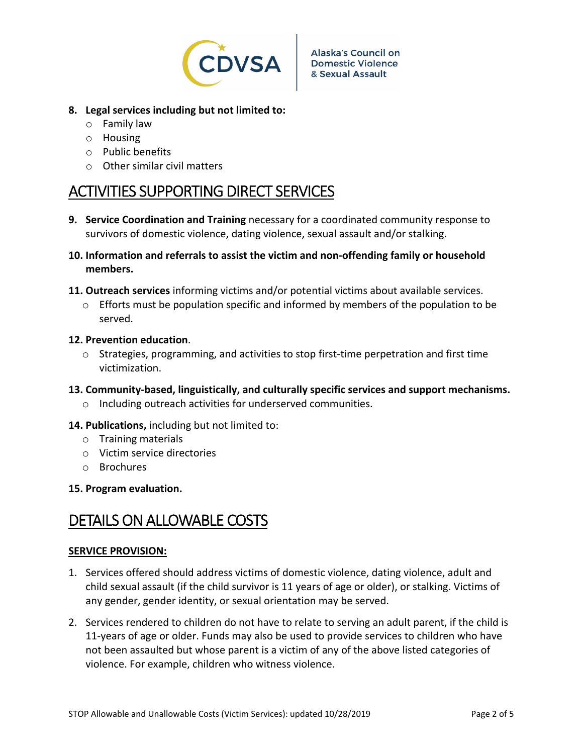

- **8. Legal services including but not limited to:**
	- o Family law
	- o Housing
	- o Public benefits
	- $\circ$  Other similar civil matters

## ACTIVITIES SUPPORTING DIRECT SERVICES

- **9. Service Coordination and Training** necessary for a coordinated community response to survivors of domestic violence, dating violence, sexual assault and/or stalking.
- **10. Information and referrals to assist the victim and non‐offending family or household members.**
- **11. Outreach services** informing victims and/or potential victims about available services.
	- $\circ$  Efforts must be population specific and informed by members of the population to be served.

## **12. Prevention education**.

- o Strategies, programming, and activities to stop first‐time perpetration and first time victimization.
- **13. Community‐based, linguistically, and culturally specific services and support mechanisms.**
	- o Including outreach activities for underserved communities.
- **14. Publications,** including but not limited to:
	- o Training materials
	- o Victim service directories
	- o Brochures
- **15. Program evaluation.**

## DETAILS ON ALLOWABLE COSTS

#### **SERVICE PROVISION:**

- 1. Services offered should address victims of domestic violence, dating violence, adult and child sexual assault (if the child survivor is 11 years of age or older), or stalking. Victims of any gender, gender identity, or sexual orientation may be served.
- 2. Services rendered to children do not have to relate to serving an adult parent, if the child is 11-years of age or older. Funds may also be used to provide services to children who have not been assaulted but whose parent is a victim of any of the above listed categories of violence. For example, children who witness violence.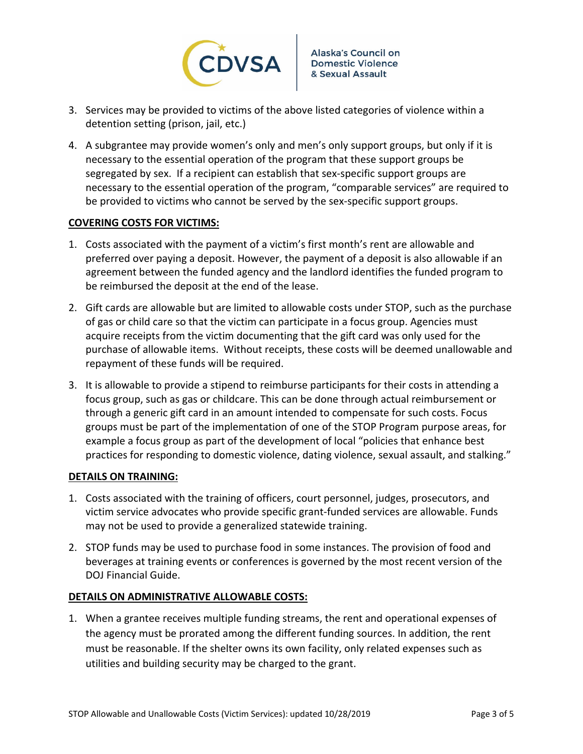

- 3. Services may be provided to victims of the above listed categories of violence within a detention setting (prison, jail, etc.)
- 4. A subgrantee may provide women's only and men's only support groups, but only if it is necessary to the essential operation of the program that these support groups be segregated by sex. If a recipient can establish that sex‐specific support groups are necessary to the essential operation of the program, "comparable services" are required to be provided to victims who cannot be served by the sex-specific support groups.

## **COVERING COSTS FOR VICTIMS:**

- 1. Costs associated with the payment of a victim's first month's rent are allowable and preferred over paying a deposit. However, the payment of a deposit is also allowable if an agreement between the funded agency and the landlord identifies the funded program to be reimbursed the deposit at the end of the lease.
- 2. Gift cards are allowable but are limited to allowable costs under STOP, such as the purchase of gas or child care so that the victim can participate in a focus group. Agencies must acquire receipts from the victim documenting that the gift card was only used for the purchase of allowable items. Without receipts, these costs will be deemed unallowable and repayment of these funds will be required.
- 3. It is allowable to provide a stipend to reimburse participants for their costs in attending a focus group, such as gas or childcare. This can be done through actual reimbursement or through a generic gift card in an amount intended to compensate for such costs. Focus groups must be part of the implementation of one of the STOP Program purpose areas, for example a focus group as part of the development of local "policies that enhance best practices for responding to domestic violence, dating violence, sexual assault, and stalking."

## **DETAILS ON TRAINING:**

- 1. Costs associated with the training of officers, court personnel, judges, prosecutors, and victim service advocates who provide specific grant‐funded services are allowable. Funds may not be used to provide a generalized statewide training.
- 2. STOP funds may be used to purchase food in some instances. The provision of food and beverages at training events or conferences is governed by the most recent version of the DOJ Financial Guide.

## **DETAILS ON ADMINISTRATIVE ALLOWABLE COSTS:**

1. When a grantee receives multiple funding streams, the rent and operational expenses of the agency must be prorated among the different funding sources. In addition, the rent must be reasonable. If the shelter owns its own facility, only related expenses such as utilities and building security may be charged to the grant.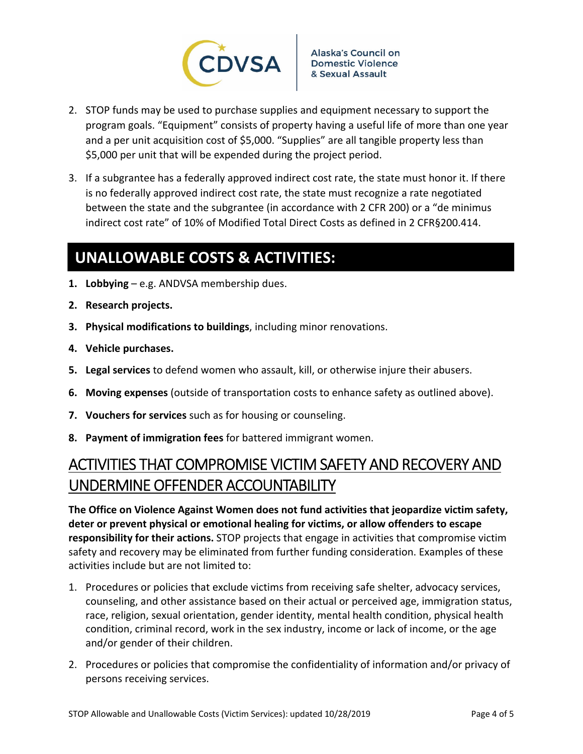

- 2. STOP funds may be used to purchase supplies and equipment necessary to support the program goals. "Equipment" consists of property having a useful life of more than one year and a per unit acquisition cost of \$5,000. "Supplies" are all tangible property less than \$5,000 per unit that will be expended during the project period.
- 3. If a subgrantee has a federally approved indirect cost rate, the state must honor it. If there is no federally approved indirect cost rate, the state must recognize a rate negotiated between the state and the subgrantee (in accordance with 2 CFR 200) or a "de minimus indirect cost rate" of 10% of Modified Total Direct Costs as defined in 2 CFR§200.414.

# **UNALLOWABLE COSTS & ACTIVITIES:**

- **1. Lobbying** e.g. ANDVSA membership dues.
- **2. Research projects.**
- **3. Physical modifications to buildings**, including minor renovations.
- **4. Vehicle purchases.**
- **5. Legal services** to defend women who assault, kill, or otherwise injure their abusers.
- **6. Moving expenses** (outside of transportation costs to enhance safety as outlined above).
- **7. Vouchers for services** such as for housing or counseling.
- **8. Payment of immigration fees** for battered immigrant women.

# ACTIVITIES THAT COMPROMISE VICTIM SAFETY AND RECOVERY AND UNDERMINE OFFENDER ACCOUNTABILITY

**The Office on Violence Against Women does not fund activities that jeopardize victim safety, deter or prevent physical or emotional healing for victims, or allow offenders to escape responsibility for their actions.** STOP projects that engage in activities that compromise victim safety and recovery may be eliminated from further funding consideration. Examples of these activities include but are not limited to:

- 1. Procedures or policies that exclude victims from receiving safe shelter, advocacy services, counseling, and other assistance based on their actual or perceived age, immigration status, race, religion, sexual orientation, gender identity, mental health condition, physical health condition, criminal record, work in the sex industry, income or lack of income, or the age and/or gender of their children.
- 2. Procedures or policies that compromise the confidentiality of information and/or privacy of persons receiving services.